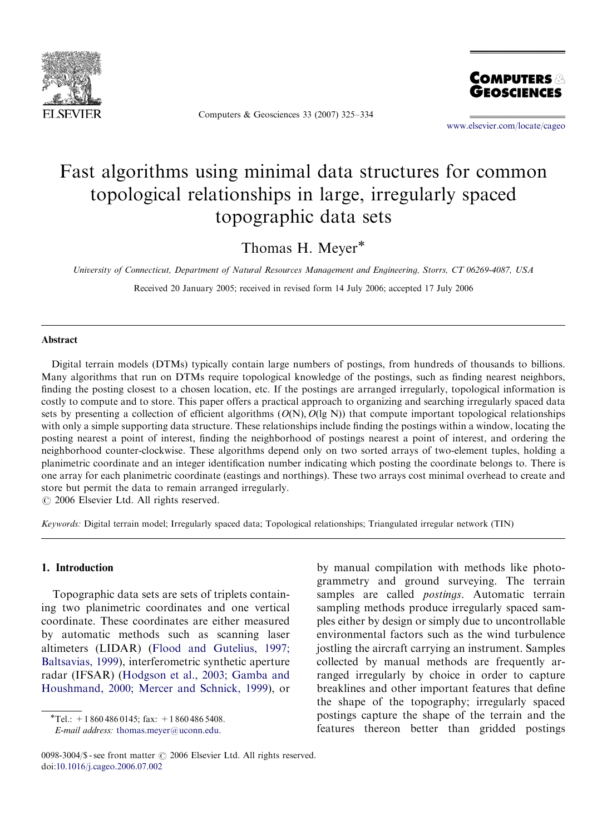

Computers & Geosciences 33 (2007) 325–334



<www.elsevier.com/locate/cageo>

# Fast algorithms using minimal data structures for common topological relationships in large, irregularly spaced topographic data sets

Thomas H. Meyer<sup>\*</sup>

University of Connecticut, Department of Natural Resources Management and Engineering, Storrs, CT 06269-4087, USA

Received 20 January 2005; received in revised form 14 July 2006; accepted 17 July 2006

#### Abstract

Digital terrain models (DTMs) typically contain large numbers of postings, from hundreds of thousands to billions. Many algorithms that run on DTMs require topological knowledge of the postings, such as finding nearest neighbors, finding the posting closest to a chosen location, etc. If the postings are arranged irregularly, topological information is costly to compute and to store. This paper offers a practical approach to organizing and searching irregularly spaced data sets by presenting a collection of efficient algorithms  $(O(N), O(\lg N))$  that compute important topological relationships with only a simple supporting data structure. These relationships include finding the postings within a window, locating the posting nearest a point of interest, finding the neighborhood of postings nearest a point of interest, and ordering the neighborhood counter-clockwise. These algorithms depend only on two sorted arrays of two-element tuples, holding a planimetric coordinate and an integer identification number indicating which posting the coordinate belongs to. There is one array for each planimetric coordinate (eastings and northings). These two arrays cost minimal overhead to create and store but permit the data to remain arranged irregularly.

 $O$  2006 Elsevier Ltd. All rights reserved.

Keywords: Digital terrain model; Irregularly spaced data; Topological relationships; Triangulated irregular network (TIN)

### 1. Introduction

Topographic data sets are sets of triplets containing two planimetric coordinates and one vertical coordinate. These coordinates are either measured by automatic methods such as scanning laser altimeters (LIDAR) [\(Flood and Gutelius, 1997;](#page--1-0) [Baltsavias, 1999\)](#page--1-0), interferometric synthetic aperture radar (IFSAR) ([Hodgson et al., 2003; Gamba and](#page--1-0) [Houshmand, 2000; Mercer and Schnick, 1999\)](#page--1-0), or

 $\overline{\text{F}Tel}$ : +1 860 486 0145; fax: +1 860 486 5408.

E-mail address: [thomas.meyer@uconn.edu.](mailto:thomas.meyer@uconn.edu)

by manual compilation with methods like photogrammetry and ground surveying. The terrain samples are called *postings*. Automatic terrain sampling methods produce irregularly spaced samples either by design or simply due to uncontrollable environmental factors such as the wind turbulence jostling the aircraft carrying an instrument. Samples collected by manual methods are frequently arranged irregularly by choice in order to capture breaklines and other important features that define the shape of the topography; irregularly spaced postings capture the shape of the terrain and the features thereon better than gridded postings

<sup>0098-3004/\$ -</sup> see front matter  $\odot$  2006 Elsevier Ltd. All rights reserved. doi:[10.1016/j.cageo.2006.07.002](dx.doi.org/10.1016/j.cageo.2006.07.002)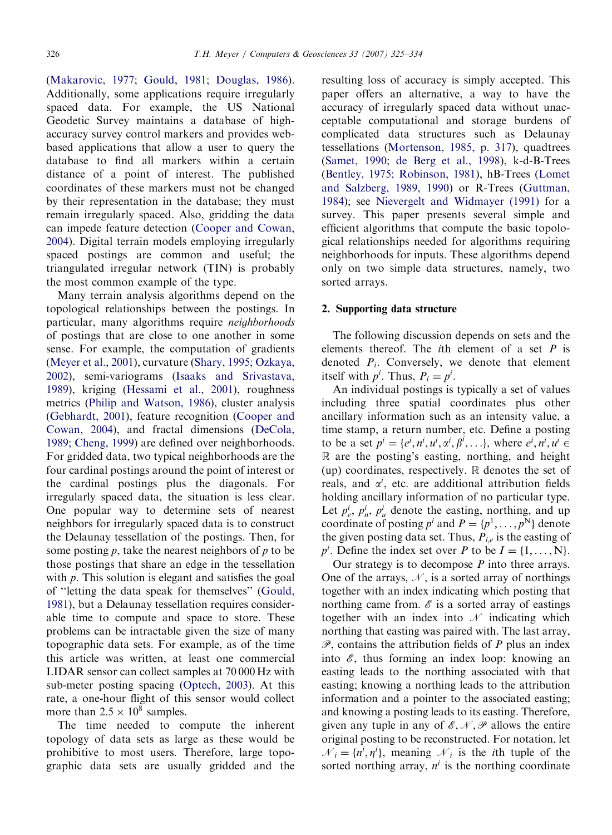([Makarovic, 1977; Gould, 1981; Douglas, 1986](#page--1-0)). Additionally, some applications require irregularly spaced data. For example, the US National Geodetic Survey maintains a database of highaccuracy survey control markers and provides webbased applications that allow a user to query the database to find all markers within a certain distance of a point of interest. The published coordinates of these markers must not be changed by their representation in the database; they must remain irregularly spaced. Also, gridding the data can impede feature detection ([Cooper and Cowan,](#page--1-0) [2004](#page--1-0)). Digital terrain models employing irregularly spaced postings are common and useful; the triangulated irregular network (TIN) is probably the most common example of the type.

Many terrain analysis algorithms depend on the topological relationships between the postings. In particular, many algorithms require neighborhoods of postings that are close to one another in some sense. For example, the computation of gradients [\(Meyer et al., 2001\)](#page--1-0), curvature [\(Shary, 1995; Ozkaya,](#page--1-0) [2002\)](#page--1-0), semi-variograms ([Isaaks and Srivastava,](#page--1-0) [1989\)](#page--1-0), kriging ([Hessami et al., 2001\)](#page--1-0), roughness metrics ([Philip and Watson, 1986](#page--1-0)), cluster analysis [\(Gebhardt, 2001\)](#page--1-0), feature recognition ([Cooper and](#page--1-0) [Cowan, 2004](#page--1-0)), and fractal dimensions ([DeCola,](#page--1-0) [1989; Cheng, 1999](#page--1-0)) are defined over neighborhoods. For gridded data, two typical neighborhoods are the four cardinal postings around the point of interest or the cardinal postings plus the diagonals. For irregularly spaced data, the situation is less clear. One popular way to determine sets of nearest neighbors for irregularly spaced data is to construct the Delaunay tessellation of the postings. Then, for some posting  $p$ , take the nearest neighbors of  $p$  to be those postings that share an edge in the tessellation with  $p$ . This solution is elegant and satisfies the goal of ''letting the data speak for themselves'' [\(Gould,](#page--1-0) [1981\)](#page--1-0), but a Delaunay tessellation requires considerable time to compute and space to store. These problems can be intractable given the size of many topographic data sets. For example, as of the time this article was written, at least one commercial LIDAR sensor can collect samples at 70 000 Hz with sub-meter posting spacing [\(Optech, 2003\)](#page--1-0). At this rate, a one-hour flight of this sensor would collect more than  $2.5 \times 10^8$  samples.

The time needed to compute the inherent topology of data sets as large as these would be prohibitive to most users. Therefore, large topographic data sets are usually gridded and the resulting loss of accuracy is simply accepted. This paper offers an alternative, a way to have the accuracy of irregularly spaced data without unacceptable computational and storage burdens of complicated data structures such as Delaunay tessellations [\(Mortenson, 1985, p. 317](#page--1-0)), quadtrees ([Samet, 1990; de Berg et al., 1998](#page--1-0)), k-d-B-Trees ([Bentley, 1975; Robinson, 1981](#page--1-0)), hB-Trees [\(Lomet](#page--1-0) [and Salzberg, 1989, 1990\)](#page--1-0) or R-Trees ([Guttman,](#page--1-0) [1984](#page--1-0)); see [Nievergelt and Widmayer \(1991\)](#page--1-0) for a survey. This paper presents several simple and efficient algorithms that compute the basic topological relationships needed for algorithms requiring neighborhoods for inputs. These algorithms depend only on two simple data structures, namely, two sorted arrays.

### 2. Supporting data structure

The following discussion depends on sets and the elements thereof. The *i*th element of a set  $P$  is denoted  $P_i$ . Conversely, we denote that element itself with  $p^i$ . Thus,  $P_i = p^i$ .

An individual postings is typically a set of values including three spatial coordinates plus other ancillary information such as an intensity value, a time stamp, a return number, etc. Define a posting to be a set  $p^i = \{e^i, n^i, u^i, \alpha^i, \beta^i, \ldots\}$ , where  $e^i, n^i, u^i \in$ R are the posting's easting, northing, and height (up) coordinates, respectively.  $\mathbb R$  denotes the set of reals, and  $\alpha^i$ , etc. are additional attribution fields holding ancillary information of no particular type. Let  $p_e^i$ ,  $p_n^i$ ,  $p_u^i$  denote the easting, northing, and up coordinate of posting  $p^i$  and  $P = \{p^1, \ldots, p^N\}$  denote the given posting data set. Thus,  $P_{i,e}$  is the easting of  $p^{i}$ . Define the index set over P to be  $I = \{1, \ldots, N\}$ .

Our strategy is to decompose  $P$  into three arrays. One of the arrays,  $N$ , is a sorted array of northings together with an index indicating which posting that northing came from.  $\mathscr E$  is a sorted array of eastings together with an index into  $\mathcal N$  indicating which northing that easting was paired with. The last array,  $\mathscr{P}$ , contains the attribution fields of P plus an index into  $\mathscr{E}$ , thus forming an index loop: knowing an easting leads to the northing associated with that easting; knowing a northing leads to the attribution information and a pointer to the associated easting; and knowing a posting leads to its easting. Therefore, given any tuple in any of  $\mathscr{E}, \mathscr{N}, \mathscr{P}$  allows the entire original posting to be reconstructed. For notation, let  $\mathcal{N}_i = \{n^i, \eta^i\}$ , meaning  $\mathcal{N}_i$  is the *i*th tuple of the sorted northing array,  $n^i$  is the northing coordinate